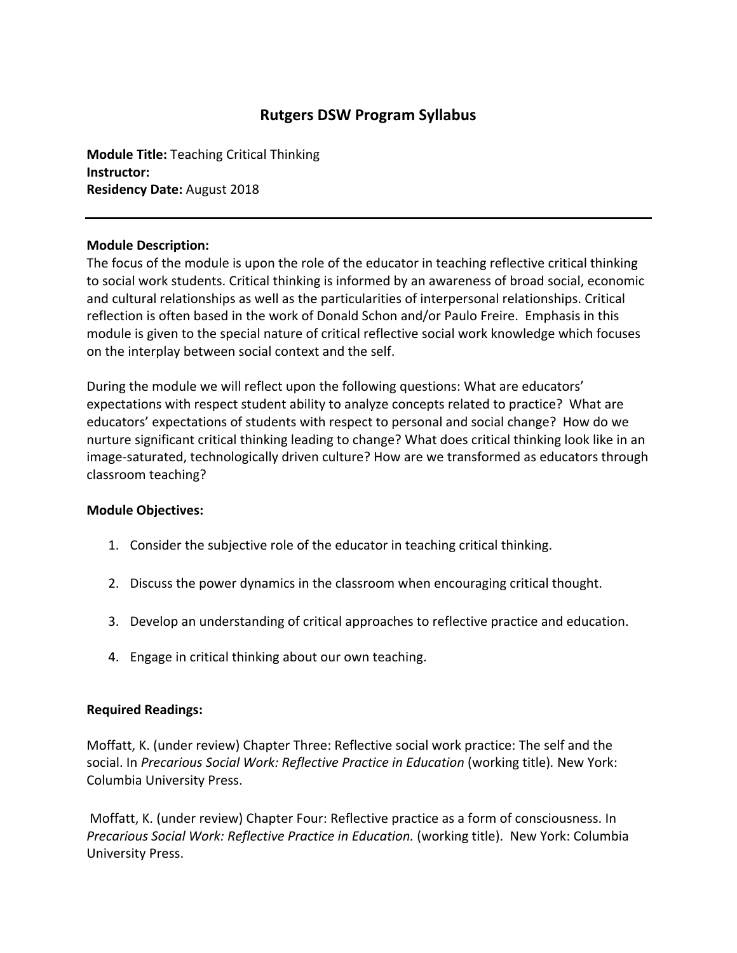# **Rutgers DSW Program Syllabus**

**Module Title:** Teaching Critical Thinking **Instructor: Residency Date:** August 2018

## **Module Description:**

The focus of the module is upon the role of the educator in teaching reflective critical thinking to social work students. Critical thinking is informed by an awareness of broad social, economic and cultural relationships as well as the particularities of interpersonal relationships. Critical reflection is often based in the work of Donald Schon and/or Paulo Freire. Emphasis in this module is given to the special nature of critical reflective social work knowledge which focuses on the interplay between social context and the self.

During the module we will reflect upon the following questions: What are educators' expectations with respect student ability to analyze concepts related to practice? What are educators' expectations of students with respect to personal and social change? How do we nurture significant critical thinking leading to change? What does critical thinking look like in an image‐saturated, technologically driven culture? How are we transformed as educators through classroom teaching?

### **Module Objectives:**

- 1. Consider the subjective role of the educator in teaching critical thinking.
- 2. Discuss the power dynamics in the classroom when encouraging critical thought.
- 3. Develop an understanding of critical approaches to reflective practice and education.
- 4. Engage in critical thinking about our own teaching.

### **Required Readings:**

Moffatt, K. (under review) Chapter Three: Reflective social work practice: The self and the social. In *Precarious Social Work: Reflective Practice in Education* (working title)*.* New York: Columbia University Press.

Moffatt, K. (under review) Chapter Four: Reflective practice as a form of consciousness. In *Precarious Social Work: Reflective Practice in Education.* (working title).New York: Columbia University Press.